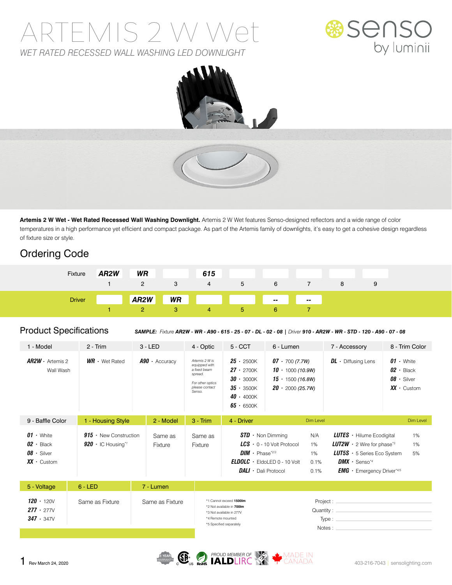# ARTEMIS 2 W Wet *WET RATED RECESSED WALL WASHING LED DOWNLIGHT*





**Artemis 2 W Wet - Wet Rated Recessed Wall Washing Downlight.** Artemis 2 W Wet features Senso-designed reflectors and a wide range of color temperatures in a high performance yet efficient and compact package. As part of the Artemis family of downlights, it's easy to get a cohesive design regardless of fixture size or style.

### Ordering Code

| Fixture       | AR <sub>2</sub> W | <b>WR</b>         |   | 615                                                                                                                    |    |    |                |   |  |
|---------------|-------------------|-------------------|---|------------------------------------------------------------------------------------------------------------------------|----|----|----------------|---|--|
|               |                   | $\overline{2}$    | 3 | $-4$                                                                                                                   | 5  | 6  |                | 8 |  |
| <b>Driver</b> |                   | AR <sub>2</sub> W |   | <b>WR Example 19 and 19 and 19 and 19 and 19 and 19 and 19 and 19 and 19 and 19 and 19 and 19 and 19 and 19 and 19</b> |    |    | a si<br>$\sim$ |   |  |
|               |                   |                   |   | 4                                                                                                                      | b. | h. |                |   |  |

Product Specifications *SAMPLE: Fixture AR2W - WR - A90 - 615 - 25 - 07 - DL - 02 - 08 | Driver 910 - AR2W - WR - STD - 120 - A90 - 07 - 08*

| 1 - Model                                                                      | $2 - Trim$                                                           | $3 - LED$            | 4 - Optic                                                                                                  | $5 - CCT$                                                                                                                        | 6 - Lumen                                                                                           |                                 | 7 - Accessory                                                                                                                                                                                               | 8 - Trim Color                                                                 |  |
|--------------------------------------------------------------------------------|----------------------------------------------------------------------|----------------------|------------------------------------------------------------------------------------------------------------|----------------------------------------------------------------------------------------------------------------------------------|-----------------------------------------------------------------------------------------------------|---------------------------------|-------------------------------------------------------------------------------------------------------------------------------------------------------------------------------------------------------------|--------------------------------------------------------------------------------|--|
| $AR2W \cdot$ Artemis 2<br>Wall Wash                                            | $WR \cdot$ Wet Rated                                                 | $A90 \cdot$ Accuracy | Artemis 2 W is<br>equipped with<br>a fixed beam<br>spread.<br>For other optics<br>please contact<br>Senso. | $25 \cdot 2500K$<br>$27 \cdot 2700K$<br>$30 \cdot 3000K$<br>$35 - 3500K$<br>$40 \cdot 4000K$<br>$65 - 6500K$                     | $07 \cdot 700(7.7W)$<br>$10 \cdot 1000$ (10.9W)<br>$15 \cdot 1500(16.8W)$<br>$20 \cdot 2000(25.7W)$ |                                 | $DL \cdot$ Diffusing Lens                                                                                                                                                                                   | $01 \cdot$ White<br>$02 \cdot$ Black<br>$08 \cdot$ Silver<br>$XX \cdot$ Custom |  |
| 9 - Baffle Color                                                               | 1 - Housing Style                                                    | 2 - Model            | $3 - Trim$                                                                                                 | 4 - Driver                                                                                                                       |                                                                                                     | Dim Level                       |                                                                                                                                                                                                             | Dim Level                                                                      |  |
| $01 \cdot$ White<br>$02 \cdot$ Black<br>$08 \cdot$ Silver<br>$XX \cdot$ Custom | $915 \cdot$ New Construction<br>$920 \cdot$ IC Housing* <sup>1</sup> | Same as<br>Fixture   | Same as<br>Fixture                                                                                         | $STD \cdot$ Non Dimming<br>$DIM \cdot$ Phase*2/3<br><b>DALI</b> · Dali Protocol                                                  | $LCS$ $\cdot$ 0 - 10 Volt Protocol<br>$ELDOLC - EldolED 0 - 10 Volt$                                | N/A<br>1%<br>1%<br>0.1%<br>0.1% | <b>LUTES</b> $\cdot$ Hilume Ecodigital<br><b>LUT2W</b> $\cdot$ 2 Wire for phase <sup>*3</sup><br><b>LUT5S</b> $\cdot$ 5 Series Eco System<br>$DMX \cdot$ Senso*4<br><b>EMG</b> $\cdot$ Emergency Driver*4/5 | 1%<br>1%<br>5%                                                                 |  |
| 5 - Voltage                                                                    | $6 - LED$                                                            | 7 - Lumen            |                                                                                                            |                                                                                                                                  |                                                                                                     |                                 |                                                                                                                                                                                                             |                                                                                |  |
| $120 \cdot 1200$<br>$277 \cdot 277V$<br>$347 \cdot 347V$                       | Same as Fixture<br>Same as Fixture                                   |                      |                                                                                                            | *1 Cannot exceed 1500lm<br>*2 Not available in 700Im<br>*3 Not available in 277V<br>*4 Remote mounted<br>*5 Specified separately |                                                                                                     |                                 | Project : .<br>Quantity:<br>Type:<br>Notes:                                                                                                                                                                 |                                                                                |  |

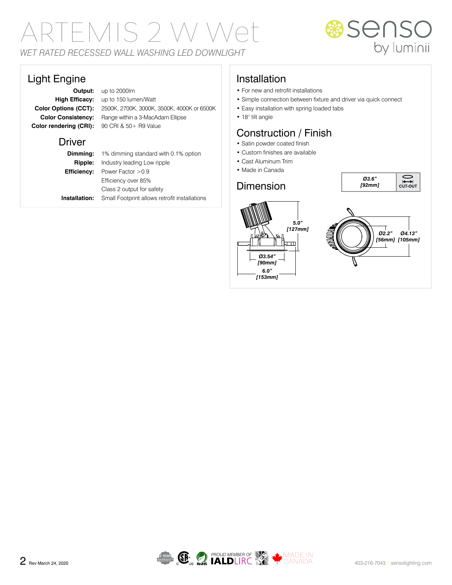# ARTEMIS 2 W Wet *WET RATED RECESSED WALL WASHING LED DOWNLIGHT*

# **Senso**<br>by luminii

*Ø3.6" [92mm]* **CUT-OUT**

#### Light Engine

**Color rendering (CRI):** 90 CRI & 50+ R9 Value

**Output:** up to 2000lm **High Efficacy:** up to 150 lumen/Watt **Color Options (CCT):** 2500K, 2700K, 3000K, 3500K, 4000K or 6500K **Color Consistency:** Range within a 3-MacAdam Ellipse

#### **Driver**

|                | <b>Dimming:</b> 1% dimming standard with 0.1% option |  |  |  |
|----------------|------------------------------------------------------|--|--|--|
| <b>Ripple:</b> | Industry leading Low ripple                          |  |  |  |
|                | <b>Efficiency:</b> Power Factor $>0.9$               |  |  |  |
|                | Efficiency over 85%                                  |  |  |  |
|                | Class 2 output for safety                            |  |  |  |
| Installation:  | Small Footprint allows retrofit installations        |  |  |  |

#### Installation

- For new and retrofit installations
- Simple connection between fixture and driver via quick connect
- Easy installation with spring loaded tabs
- 18° tilt angle

#### Construction / Finish

- Satin powder coated finish
- Custom finishes are available
- Cast Aluminum Trim
- Made in Canada

#### Dimension